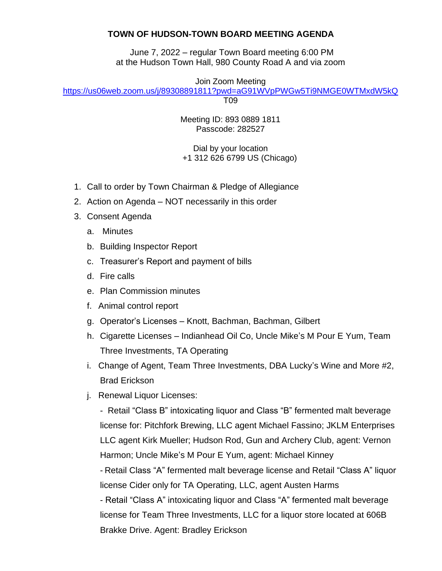## **TOWN OF HUDSON-TOWN BOARD MEETING AGENDA**

June 7, 2022 – regular Town Board meeting 6:00 PM at the Hudson Town Hall, 980 County Road A and via zoom

Join Zoom Meeting

<https://us06web.zoom.us/j/89308891811?pwd=aG91WVpPWGw5Ti9NMGE0WTMxdW5kQ>

T09

Meeting ID: 893 0889 1811 Passcode: 282527

Dial by your location +1 312 626 6799 US (Chicago)

- 1. Call to order by Town Chairman & Pledge of Allegiance
- 2. Action on Agenda NOT necessarily in this order
- 3. Consent Agenda
	- a. Minutes
	- b. Building Inspector Report
	- c. Treasurer's Report and payment of bills
	- d. Fire calls
	- e. Plan Commission minutes
	- f. Animal control report
	- g. Operator's Licenses Knott, Bachman, Bachman, Gilbert
	- h. Cigarette Licenses Indianhead Oil Co, Uncle Mike's M Pour E Yum, Team Three Investments, TA Operating
	- i. Change of Agent, Team Three Investments, DBA Lucky's Wine and More #2, Brad Erickson
	- j. Renewal Liquor Licenses:

- Retail "Class B" intoxicating liquor and Class "B" fermented malt beverage license for: Pitchfork Brewing, LLC agent Michael Fassino; JKLM Enterprises LLC agent Kirk Mueller; Hudson Rod, Gun and Archery Club, agent: Vernon Harmon; Uncle Mike's M Pour E Yum, agent: Michael Kinney

- Retail Class "A" fermented malt beverage license and Retail "Class A" liquor license Cider only for TA Operating, LLC, agent Austen Harms

- Retail "Class A" intoxicating liquor and Class "A" fermented malt beverage license for Team Three Investments, LLC for a liquor store located at 606B Brakke Drive. Agent: Bradley Erickson